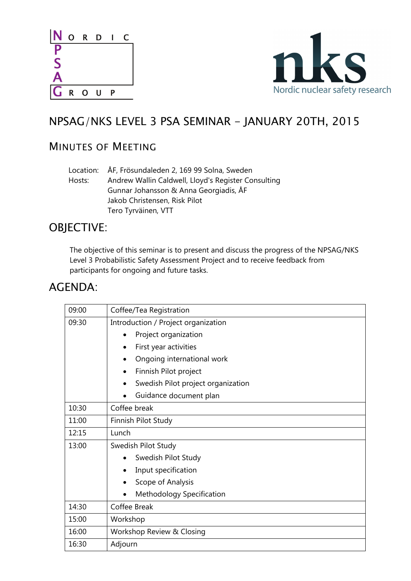



# NPSAG/NKS LEVEL 3 PSA SEMINAR - JANUARY 20TH, 2015

## MINUTES OF MEETING

|        | Location: ÅF, Frösundaleden 2, 169 99 Solna, Sweden |
|--------|-----------------------------------------------------|
| Hosts: | Andrew Wallin Caldwell, Lloyd's Register Consulting |
|        | Gunnar Johansson & Anna Georgiadis, ÅF              |
|        | Jakob Christensen, Risk Pilot                       |
|        | Tero Tyrväinen, VTT                                 |

### OBJECTIVE:

The objective of this seminar is to present and discuss the progress of the NPSAG/NKS Level 3 Probabilistic Safety Assessment Project and to receive feedback from participants for ongoing and future tasks.

### AGENDA:

| 09:00 | Coffee/Tea Registration             |  |
|-------|-------------------------------------|--|
| 09:30 | Introduction / Project organization |  |
|       | Project organization                |  |
|       | First year activities               |  |
|       | Ongoing international work          |  |
|       | Finnish Pilot project<br>٠          |  |
|       | Swedish Pilot project organization  |  |
|       | Guidance document plan              |  |
| 10:30 | Coffee break                        |  |
| 11:00 | Finnish Pilot Study                 |  |
| 12:15 | Lunch                               |  |
| 13:00 | Swedish Pilot Study                 |  |
|       | Swedish Pilot Study                 |  |
|       | Input specification<br>$\bullet$    |  |
|       | Scope of Analysis                   |  |
|       | Methodology Specification           |  |
| 14:30 | Coffee Break                        |  |
| 15:00 | Workshop                            |  |
| 16:00 | Workshop Review & Closing           |  |
| 16:30 | Adjourn                             |  |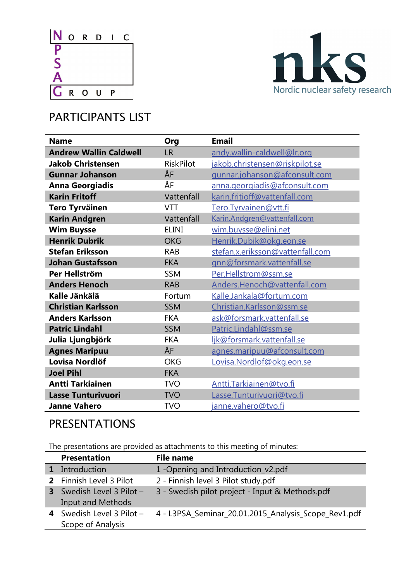



# PARTICIPANTS LIST

| <b>Name</b>                   | Org              | <b>Email</b>                     |
|-------------------------------|------------------|----------------------------------|
| <b>Andrew Wallin Caldwell</b> | <b>LR</b>        | andy.wallin-caldwell@Ir.org      |
| <b>Jakob Christensen</b>      | <b>RiskPilot</b> | jakob.christensen@riskpilot.se   |
| <b>Gunnar Johanson</b>        | ÅF               | gunnar.johanson@afconsult.com    |
| <b>Anna Georgiadis</b>        | ÅF               | anna.georgiadis@afconsult.com    |
| <b>Karin Fritoff</b>          | Vattenfall       | karin.fritioff@vattenfall.com    |
| <b>Tero Tyrväinen</b>         | <b>VTT</b>       | Tero.Tyrvainen@vtt.fi            |
| <b>Karin Andgren</b>          | Vattenfall       | Karin.Andgren@vattenfall.com     |
| <b>Wim Buysse</b>             | <b>ELINI</b>     | wim.buysse@elini.net             |
| <b>Henrik Dubrik</b>          | <b>OKG</b>       | Henrik.Dubik@okg.eon.se          |
| <b>Stefan Eriksson</b>        | <b>RAB</b>       | stefan.x.eriksson@vattenfall.com |
| <b>Johan Gustafsson</b>       | <b>FKA</b>       | gnn@forsmark.vattenfall.se       |
| Per Hellström                 | <b>SSM</b>       | Per.Hellstrom@ssm.se             |
| <b>Anders Henoch</b>          | <b>RAB</b>       | Anders.Henoch@vattenfall.com     |
| Kalle Jänkälä                 | Fortum           | Kalle.Jankala@fortum.com         |
| <b>Christian Karlsson</b>     | <b>SSM</b>       | Christian.Karlsson@ssm.se        |
| <b>Anders Karlsson</b>        | <b>FKA</b>       | ask@forsmark.vattenfall.se       |
| <b>Patric Lindahl</b>         | <b>SSM</b>       | Patric.Lindahl@ssm.se            |
| Julia Ljungbjörk              | <b>FKA</b>       | ljk@forsmark.vattenfall.se       |
| <b>Agnes Maripuu</b>          | ÅF               | agnes.maripuu@afconsult.com      |
| Lovisa Nordlöf                | <b>OKG</b>       | Lovisa.Nordlof@okg.eon.se        |
| <b>Joel Pihl</b>              | <b>FKA</b>       |                                  |
| <b>Antti Tarkiainen</b>       | <b>TVO</b>       | Antti.Tarkiainen@tvo.fi          |
| <b>Lasse Tunturivuori</b>     | <b>TVO</b>       | Lasse.Tunturivuori@tvo.fi        |
| <b>Janne Vahero</b>           | <b>TVO</b>       | janne.vahero@tvo.fi              |

## PRESENTATIONS

The presentations are provided as attachments to this meeting of minutes:

|   | <b>Presentation</b>                                   | File name                                            |
|---|-------------------------------------------------------|------------------------------------------------------|
|   | 1 Introduction                                        | 1 - Opening and Introduction_v2.pdf                  |
|   | 2 Finnish Level 3 Pilot                               | 2 - Finnish level 3 Pilot study.pdf                  |
|   | Swedish Level 3 Pilot $-$<br><b>Input and Methods</b> | 3 - Swedish pilot project - Input & Methods.pdf      |
| 4 | Swedish Level 3 Pilot -<br>Scope of Analysis          | 4 - L3PSA_Seminar_20.01.2015_Analysis_Scope_Rev1.pdf |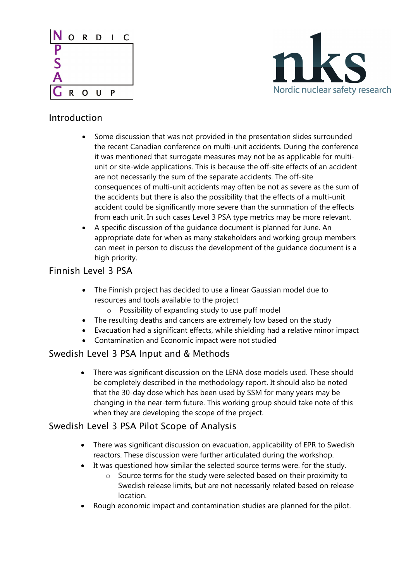



#### Introduction

- Some discussion that was not provided in the presentation slides surrounded the recent Canadian conference on multi-unit accidents. During the conference it was mentioned that surrogate measures may not be as applicable for multiunit or site-wide applications. This is because the off-site effects of an accident are not necessarily the sum of the separate accidents. The off-site consequences of multi-unit accidents may often be not as severe as the sum of the accidents but there is also the possibility that the effects of a multi-unit accident could be significantly more severe than the summation of the effects from each unit. In such cases Level 3 PSA type metrics may be more relevant.
- A specific discussion of the guidance document is planned for June. An appropriate date for when as many stakeholders and working group members can meet in person to discuss the development of the guidance document is a high priority.

#### Finnish Level 3 PSA

- The Finnish project has decided to use a linear Gaussian model due to resources and tools available to the project
	- $\circ$  Possibility of expanding study to use puff model
- The resulting deaths and cancers are extremely low based on the study
- Evacuation had a significant effects, while shielding had a relative minor impact
- Contamination and Economic impact were not studied

#### Swedish Level 3 PSA Input and & Methods

• There was significant discussion on the LENA dose models used. These should be c ompletely described in the methodology report. It should also be noted that the 30-day dose which has been used by SSM for many years may be changing in the near-term future. This working group should take note of this when they are developing the scope of the project.

#### Swedish L evel 3 PSA Pilot Scope of Analysis

- There was significant discussion on evacuation, applicability of EPR to Swedish reac tors. These discussion were further articulated during the workshop.
- It was questioned how similar the selected source terms were. for the study.
	- $\circ$  Source terms for the study were selected based on their proximity to loc ation. Swedish release limits, but are not necessarily related based on release
- Rough economic impact and contamination studies are planned for the pilot.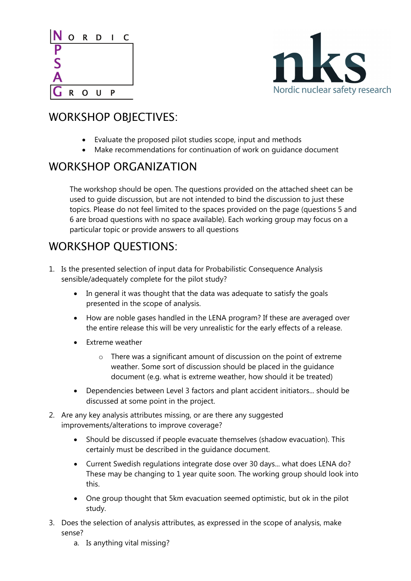



## WORKSHOP OBJECTIVES:

- Evaluate the proposed pilot studies scope, input and methods
- Make recommendations for continuation of work on guidance document

## N WORKSHOP ORGANIZATIO

The workshop should be open. The questions provided on the attached sheet can be used to guide discussion, but are not intended to bind the discussion to just these topics. Please do not feel limited to the spaces provided on the page (questions 5 and 6 are broad questions with no space available). Each working group may focus on a particular topic or provide answers to all questions

## WO RKSHOP QUESTIONS:

- 1. Is the presented selection of input data for Probabilistic Consequence Analysis se nsible/adequately complete for the pilot study?
	- In general it was thought that the data was adequate to satisfy the goals presented in the scope of analysis.
	- How are noble gases handled in the LENA program? If these are averaged over the entire release this will be very unrealistic for the early effects of a release.
	- Extreme weather
		- $\circ$  There was a significant amount of discussion on the point of extreme weather. Some sort of discussion should be placed in the guidance document (e.g. what is extreme weather, how should it be treated)
	- Dependencies between Level 3 factors and plant accident initiators... should be discussed at some point in the project.
- 2. Are any key analysis attributes missing, or are there any suggested improvements /alterations to improve coverage?
	- certainly must be described in the guidance document. • Should be discussed if people evacuate themselves (shadow evacuation). This
	- Current Swedish regulations integrate dose over 30 days... what does LENA do? These may be changing to 1 year quite soon. The working group should look into this.
	- One group thought that 5km evacuation seemed optimistic, but ok in the pilot study.
- 3. Does th e selection of analysis attributes, as expressed in the scope of analysis, make sense?
	- a. Is anything vital missing?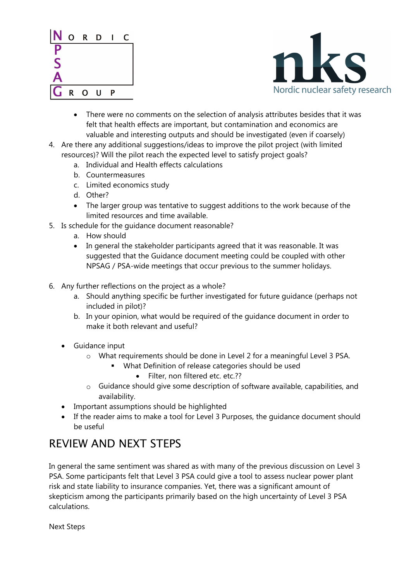



- There were no comments on the selection of analysis attributes besides that it was felt tha t health effects are important, but contamination and economics are valuable and interesting outputs and should be investigated (even if coarsely)
- resources)? Will the pilot reach the expected level to satisfy project goals? 4. Are there any additional suggestions/ideas to improve the pilot project (with limited
	- a. Individual and Health effects calculations
	- b. Countermeasures
	- c. Limited economics study
	- d. Other?
	- The larger group was tentative to suggest additions to the work because of the limited resources and time available.
- 5. Is schedule fo r the guidance document reasonable?
	- a. How should
	- In general the stakeholder participants agreed that it was reasonable. It was sugge sted that the Guidance document meeting could be coupled with other NPSAG / PSA-wide meetings that occur previous to the summer holidays.
- 6. Any further reflections on the project as a whole?
	- a. Should anything specific be further investigated for future guidance (perhaps not included in pilot)?
	- b. In your opinion, what would be required of the guidance document in order to make it both relevant and useful?
	- Guidance input
		- o What requirements should be done in Level 2 for a meaningful Level 3 PSA.
			- What Definition of release categories should be used
				- Filter, non filtered etc. etc.??
		- $\circ$  Guidance should give some description of software available, capabilities, and availability.
	- Important assumptions should be highlighted
	- If the reader aims to make a tool for Level 3 Purposes, the guidance document should be useful

# REVIEW AND NEXT STEPS

In general the same sentiment was shared as with many of the previous discussion on Level 3 PSA . Some participants felt that Level 3 PSA could give a tool to assess nuclear power plant risk and state liability to insurance companies. Yet, there was a significant amount of skepticism among the participants primarily based on the high uncertainty of Level 3 PSA calculations.

Next Steps